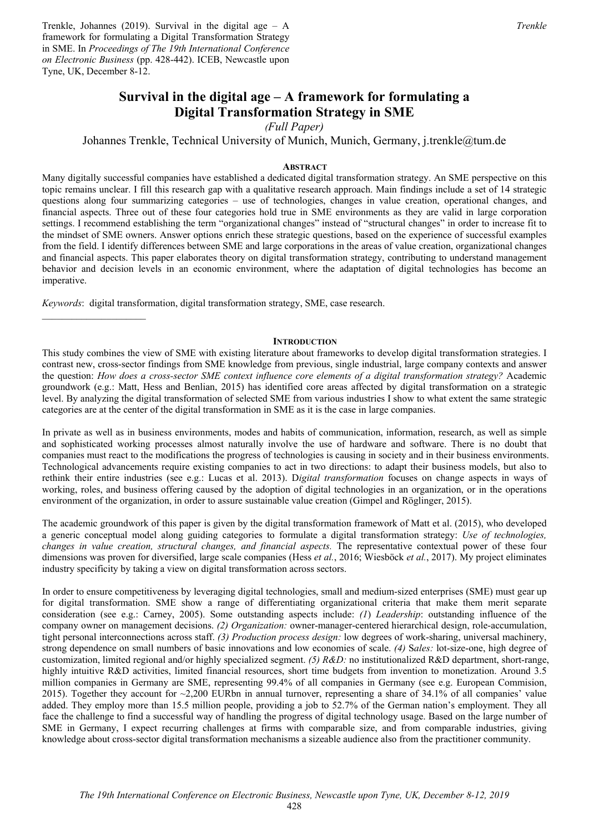Trenkle, Johannes (2019). Survival in the digital age – A framework for formulating a Digital Transformation Strategy in SME. In *Proceedings of The 19th International Conference on Electronic Business* (pp. 428-442). ICEB, Newcastle upon Tyne, UK, December 8-12.

# **Survival in the digital age – A framework for formulating a Digital Transformation Strategy in SME**

*(Full Paper)* 

Johannes Trenkle, Technical University of Munich, Munich, Germany, j.trenkle@tum.de

## **ABSTRACT**

Many digitally successful companies have established a dedicated digital transformation strategy. An SME perspective on this topic remains unclear. I fill this research gap with a qualitative research approach. Main findings include a set of 14 strategic questions along four summarizing categories – use of technologies, changes in value creation, operational changes, and financial aspects. Three out of these four categories hold true in SME environments as they are valid in large corporation settings. I recommend establishing the term "organizational changes" instead of "structural changes" in order to increase fit to the mindset of SME owners. Answer options enrich these strategic questions, based on the experience of successful examples from the field. I identify differences between SME and large corporations in the areas of value creation, organizational changes and financial aspects. This paper elaborates theory on digital transformation strategy, contributing to understand management behavior and decision levels in an economic environment, where the adaptation of digital technologies has become an imperative.

*Keywords*: digital transformation, digital transformation strategy, SME, case research.

#### **INTRODUCTION**

This study combines the view of SME with existing literature about frameworks to develop digital transformation strategies. I contrast new, cross-sector findings from SME knowledge from previous, single industrial, large company contexts and answer the question: *How does a cross-sector SME context influence core elements of a digital transformation strategy?* Academic groundwork (e.g.: Matt, Hess and Benlian, 2015) has identified core areas affected by digital transformation on a strategic level. By analyzing the digital transformation of selected SME from various industries I show to what extent the same strategic categories are at the center of the digital transformation in SME as it is the case in large companies.

In private as well as in business environments, modes and habits of communication, information, research, as well as simple and sophisticated working processes almost naturally involve the use of hardware and software. There is no doubt that companies must react to the modifications the progress of technologies is causing in society and in their business environments. Technological advancements require existing companies to act in two directions: to adapt their business models, but also to rethink their entire industries (see e.g.: Lucas et al. 2013). D*igital transformation* focuses on change aspects in ways of working, roles, and business offering caused by the adoption of digital technologies in an organization, or in the operations environment of the organization, in order to assure sustainable value creation (Gimpel and Röglinger, 2015).

The academic groundwork of this paper is given by the digital transformation framework of Matt et al. (2015), who developed a generic conceptual model along guiding categories to formulate a digital transformation strategy: *Use of technologies, changes in value creation, structural changes, and financial aspects.* The representative contextual power of these four dimensions was proven for diversified, large scale companies (Hess *et al.*, 2016; Wiesböck *et al.*, 2017). My project eliminates industry specificity by taking a view on digital transformation across sectors.

In order to ensure competitiveness by leveraging digital technologies, small and medium-sized enterprises (SME) must gear up for digital transformation. SME show a range of differentiating organizational criteria that make them merit separate consideration (see e.g.: Carney, 2005). Some outstanding aspects include: *(1*) *Leadership*: outstanding influence of the company owner on management decisions. *(2) Organization:* owner-manager-centered hierarchical design, role-accumulation, tight personal interconnections across staff. *(3) Production process design:* low degrees of work-sharing, universal machinery, strong dependence on small numbers of basic innovations and low economies of scale. *(4)* S*ales:* lot-size-one, high degree of customization, limited regional and/or highly specialized segment. *(5) R&D:* no institutionalized R&D department, short-range, highly intuitive R&D activities, limited financial resources, short time budgets from invention to monetization. Around 3.5 million companies in Germany are SME, representing 99.4% of all companies in Germany (see e.g. European Commision, 2015). Together they account for ~2,200 EURbn in annual turnover, representing a share of 34.1% of all companies' value added. They employ more than 15.5 million people, providing a job to 52.7% of the German nation's employment. They all face the challenge to find a successful way of handling the progress of digital technology usage. Based on the large number of SME in Germany, I expect recurring challenges at firms with comparable size, and from comparable industries, giving knowledge about cross-sector digital transformation mechanisms a sizeable audience also from the practitioner community.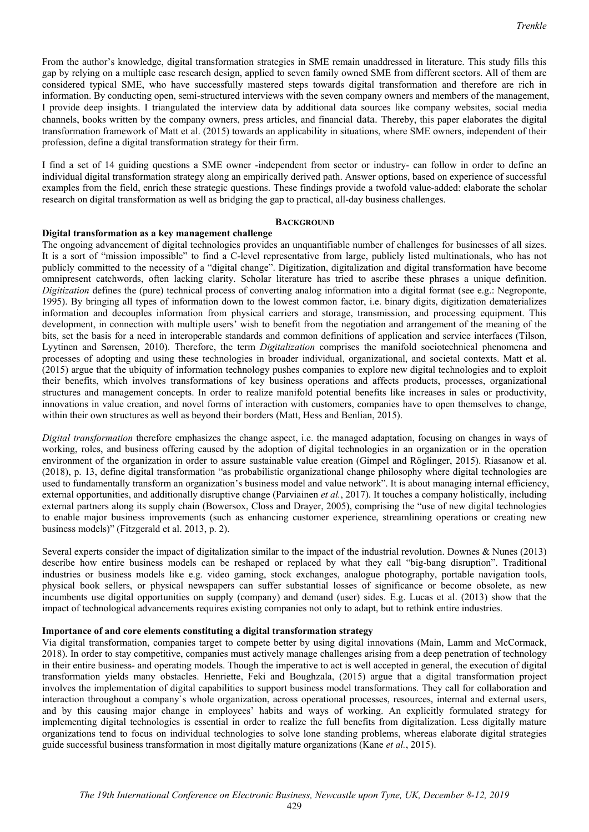From the author's knowledge, digital transformation strategies in SME remain unaddressed in literature. This study fills this gap by relying on a multiple case research design, applied to seven family owned SME from different sectors. All of them are considered typical SME, who have successfully mastered steps towards digital transformation and therefore are rich in information. By conducting open, semi-structured interviews with the seven company owners and members of the management, I provide deep insights. I triangulated the interview data by additional data sources like company websites, social media channels, books written by the company owners, press articles, and financial data. Thereby, this paper elaborates the digital transformation framework of Matt et al. (2015) towards an applicability in situations, where SME owners, independent of their profession, define a digital transformation strategy for their firm.

I find a set of 14 guiding questions a SME owner -independent from sector or industry- can follow in order to define an individual digital transformation strategy along an empirically derived path. Answer options, based on experience of successful examples from the field, enrich these strategic questions. These findings provide a twofold value-added: elaborate the scholar research on digital transformation as well as bridging the gap to practical, all-day business challenges.

### **BACKGROUND**

## **Digital transformation as a key management challenge**

The ongoing advancement of digital technologies provides an unquantifiable number of challenges for businesses of all sizes. It is a sort of "mission impossible" to find a C-level representative from large, publicly listed multinationals, who has not publicly committed to the necessity of a "digital change". Digitization, digitalization and digital transformation have become omnipresent catchwords, often lacking clarity. Scholar literature has tried to ascribe these phrases a unique definition. *Digitization* defines the (pure) technical process of converting analog information into a digital format (see e.g.: Negroponte, 1995). By bringing all types of information down to the lowest common factor, i.e. binary digits, digitization dematerializes information and decouples information from physical carriers and storage, transmission, and processing equipment. This development, in connection with multiple users' wish to benefit from the negotiation and arrangement of the meaning of the bits, set the basis for a need in interoperable standards and common definitions of application and service interfaces (Tilson, Lyytinen and Sørensen, 2010). Therefore, the term *Digitalization* comprises the manifold sociotechnical phenomena and processes of adopting and using these technologies in broader individual, organizational, and societal contexts. Matt et al. (2015) argue that the ubiquity of information technology pushes companies to explore new digital technologies and to exploit their benefits, which involves transformations of key business operations and affects products, processes, organizational structures and management concepts. In order to realize manifold potential benefits like increases in sales or productivity, innovations in value creation, and novel forms of interaction with customers, companies have to open themselves to change, within their own structures as well as beyond their borders (Matt, Hess and Benlian, 2015).

*Digital transformation* therefore emphasizes the change aspect, i.e. the managed adaptation, focusing on changes in ways of working, roles, and business offering caused by the adoption of digital technologies in an organization or in the operation environment of the organization in order to assure sustainable value creation (Gimpel and Röglinger, 2015). Riasanow et al. (2018), p. 13, define digital transformation "as probabilistic organizational change philosophy where digital technologies are used to fundamentally transform an organization's business model and value network". It is about managing internal efficiency, external opportunities, and additionally disruptive change (Parviainen *et al.*, 2017). It touches a company holistically, including external partners along its supply chain (Bowersox, Closs and Drayer, 2005), comprising the "use of new digital technologies to enable major business improvements (such as enhancing customer experience, streamlining operations or creating new business models)" (Fitzgerald et al. 2013, p. 2).

Several experts consider the impact of digitalization similar to the impact of the industrial revolution. Downes & Nunes (2013) describe how entire business models can be reshaped or replaced by what they call "big-bang disruption". Traditional industries or business models like e.g. video gaming, stock exchanges, analogue photography, portable navigation tools, physical book sellers, or physical newspapers can suffer substantial losses of significance or become obsolete, as new incumbents use digital opportunities on supply (company) and demand (user) sides. E.g. Lucas et al. (2013) show that the impact of technological advancements requires existing companies not only to adapt, but to rethink entire industries.

### **Importance of and core elements constituting a digital transformation strategy**

Via digital transformation, companies target to compete better by using digital innovations (Main, Lamm and McCormack, 2018). In order to stay competitive, companies must actively manage challenges arising from a deep penetration of technology in their entire business- and operating models. Though the imperative to act is well accepted in general, the execution of digital transformation yields many obstacles. Henriette, Feki and Boughzala, (2015) argue that a digital transformation project involves the implementation of digital capabilities to support business model transformations. They call for collaboration and interaction throughout a company`s whole organization, across operational processes, resources, internal and external users, and by this causing major change in employees' habits and ways of working. An explicitly formulated strategy for implementing digital technologies is essential in order to realize the full benefits from digitalization. Less digitally mature organizations tend to focus on individual technologies to solve lone standing problems, whereas elaborate digital strategies guide successful business transformation in most digitally mature organizations (Kane *et al.*, 2015).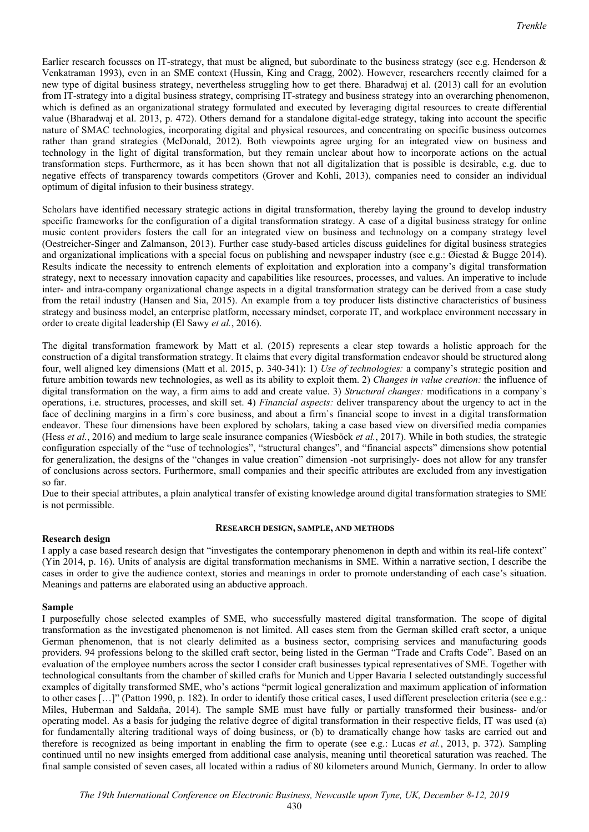Earlier research focusses on IT-strategy, that must be aligned, but subordinate to the business strategy (see e.g. Henderson & Venkatraman 1993), even in an SME context (Hussin, King and Cragg, 2002). However, researchers recently claimed for a new type of digital business strategy, nevertheless struggling how to get there. Bharadwaj et al. (2013) call for an evolution from IT-strategy into a digital business strategy, comprising IT-strategy and business strategy into an overarching phenomenon, which is defined as an organizational strategy formulated and executed by leveraging digital resources to create differential value (Bharadwaj et al. 2013, p. 472). Others demand for a standalone digital-edge strategy, taking into account the specific nature of SMAC technologies, incorporating digital and physical resources, and concentrating on specific business outcomes rather than grand strategies (McDonald, 2012). Both viewpoints agree urging for an integrated view on business and technology in the light of digital transformation, but they remain unclear about how to incorporate actions on the actual transformation steps. Furthermore, as it has been shown that not all digitalization that is possible is desirable, e.g. due to negative effects of transparency towards competitors (Grover and Kohli, 2013), companies need to consider an individual optimum of digital infusion to their business strategy.

Scholars have identified necessary strategic actions in digital transformation, thereby laying the ground to develop industry specific frameworks for the configuration of a digital transformation strategy. A case of a digital business strategy for online music content providers fosters the call for an integrated view on business and technology on a company strategy level (Oestreicher-Singer and Zalmanson, 2013). Further case study-based articles discuss guidelines for digital business strategies and organizational implications with a special focus on publishing and newspaper industry (see e.g.: Øiestad & Bugge 2014). Results indicate the necessity to entrench elements of exploitation and exploration into a company's digital transformation strategy, next to necessary innovation capacity and capabilities like resources, processes, and values. An imperative to include inter- and intra-company organizational change aspects in a digital transformation strategy can be derived from a case study from the retail industry (Hansen and Sia, 2015). An example from a toy producer lists distinctive characteristics of business strategy and business model, an enterprise platform, necessary mindset, corporate IT, and workplace environment necessary in order to create digital leadership (El Sawy *et al.*, 2016).

The digital transformation framework by Matt et al. (2015) represents a clear step towards a holistic approach for the construction of a digital transformation strategy. It claims that every digital transformation endeavor should be structured along four, well aligned key dimensions (Matt et al. 2015, p. 340-341): 1) *Use of technologies:* a company's strategic position and future ambition towards new technologies, as well as its ability to exploit them. 2) *Changes in value creation:* the influence of digital transformation on the way, a firm aims to add and create value. 3) *Structural changes:* modifications in a company`s operations, i.e. structures, processes, and skill set. 4) *Financial aspects:* deliver transparency about the urgency to act in the face of declining margins in a firm`s core business, and about a firm`s financial scope to invest in a digital transformation endeavor. These four dimensions have been explored by scholars, taking a case based view on diversified media companies (Hess *et al.*, 2016) and medium to large scale insurance companies (Wiesböck *et al.*, 2017). While in both studies, the strategic configuration especially of the "use of technologies", "structural changes", and "financial aspects" dimensions show potential for generalization, the designs of the "changes in value creation" dimension -not surprisingly- does not allow for any transfer of conclusions across sectors. Furthermore, small companies and their specific attributes are excluded from any investigation so far.

Due to their special attributes, a plain analytical transfer of existing knowledge around digital transformation strategies to SME is not permissible.

#### **RESEARCH DESIGN, SAMPLE, AND METHODS**

### **Research design**

I apply a case based research design that "investigates the contemporary phenomenon in depth and within its real-life context" (Yin 2014, p. 16). Units of analysis are digital transformation mechanisms in SME. Within a narrative section, I describe the cases in order to give the audience context, stories and meanings in order to promote understanding of each case's situation. Meanings and patterns are elaborated using an abductive approach.

### **Sample**

I purposefully chose selected examples of SME, who successfully mastered digital transformation. The scope of digital transformation as the investigated phenomenon is not limited. All cases stem from the German skilled craft sector, a unique German phenomenon, that is not clearly delimited as a business sector, comprising services and manufacturing goods providers. 94 professions belong to the skilled craft sector, being listed in the German "Trade and Crafts Code". Based on an evaluation of the employee numbers across the sector I consider craft businesses typical representatives of SME. Together with technological consultants from the chamber of skilled crafts for Munich and Upper Bavaria I selected outstandingly successful examples of digitally transformed SME, who's actions "permit logical generalization and maximum application of information to other cases […]" (Patton 1990, p. 182). In order to identify those critical cases, I used different preselection criteria (see e.g.: Miles, Huberman and Saldaña, 2014). The sample SME must have fully or partially transformed their business- and/or operating model. As a basis for judging the relative degree of digital transformation in their respective fields, IT was used (a) for fundamentally altering traditional ways of doing business, or (b) to dramatically change how tasks are carried out and therefore is recognized as being important in enabling the firm to operate (see e.g.: Lucas *et al.*, 2013, p. 372). Sampling continued until no new insights emerged from additional case analysis, meaning until theoretical saturation was reached. The final sample consisted of seven cases, all located within a radius of 80 kilometers around Munich, Germany. In order to allow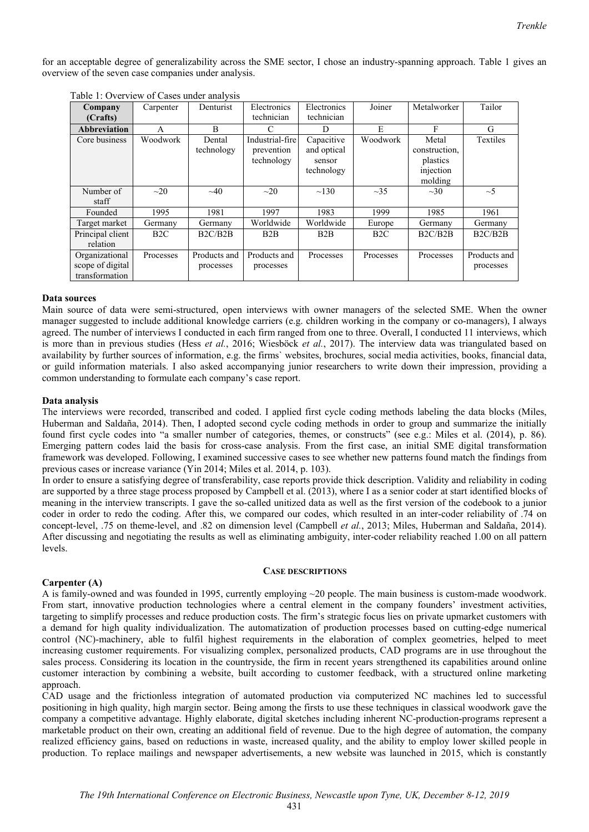for an acceptable degree of generalizability across the SME sector, I chose an industry-spanning approach. Table 1 gives an overview of the seven case companies under analysis.

| Company          | Carpenter | Denturist    | Electronics     | Electronics | Joiner    | Metalworker   | Tailor       |
|------------------|-----------|--------------|-----------------|-------------|-----------|---------------|--------------|
| (Crafts)         |           |              | technician      | technician  |           |               |              |
| Abbreviation     | A         | B            | C               | D           | E         | F             | G            |
| Core business    | Woodwork  | Dental       | Industrial-fire | Capacitive  | Woodwork  | Metal         | Textiles     |
|                  |           | technology   | prevention      | and optical |           | construction, |              |
|                  |           |              | technology      | sensor      |           | plastics      |              |
|                  |           |              |                 | technology  |           | injection     |              |
|                  |           |              |                 |             |           | molding       |              |
| Number of        | $\sim$ 20 | $\sim 40$    | $\sim$ 20       | $\sim$ 130  | $\sim$ 35 | $\sim 30$     | $\sim$ 5     |
| staff            |           |              |                 |             |           |               |              |
| Founded          | 1995      | 1981         | 1997            | 1983        | 1999      | 1985          | 1961         |
| Target market    | Germany   | Germany      | Worldwide       | Worldwide   | Europe    | Germany       | Germany      |
| Principal client | B2C       | B2C/B2B      | B2B             | B2B         | B2C       | B2C/B2B       | B2C/B2B      |
| relation         |           |              |                 |             |           |               |              |
| Organizational   | Processes | Products and | Products and    | Processes   | Processes | Processes     | Products and |
| scope of digital |           | processes    | processes       |             |           |               | processes    |
| transformation   |           |              |                 |             |           |               |              |

Table 1: Overview of Cases under analysis

#### **Data sources**

Main source of data were semi-structured, open interviews with owner managers of the selected SME. When the owner manager suggested to include additional knowledge carriers (e.g. children working in the company or co-managers), I always agreed. The number of interviews I conducted in each firm ranged from one to three. Overall, I conducted 11 interviews, which is more than in previous studies (Hess *et al.*, 2016; Wiesböck *et al.*, 2017). The interview data was triangulated based on availability by further sources of information, e.g. the firms` websites, brochures, social media activities, books, financial data, or guild information materials. I also asked accompanying junior researchers to write down their impression, providing a common understanding to formulate each company's case report.

### **Data analysis**

The interviews were recorded, transcribed and coded. I applied first cycle coding methods labeling the data blocks (Miles, Huberman and Saldaña, 2014). Then, I adopted second cycle coding methods in order to group and summarize the initially found first cycle codes into "a smaller number of categories, themes, or constructs" (see e.g.: Miles et al. (2014), p. 86). Emerging pattern codes laid the basis for cross-case analysis. From the first case, an initial SME digital transformation framework was developed. Following, I examined successive cases to see whether new patterns found match the findings from previous cases or increase variance (Yin 2014; Miles et al. 2014, p. 103).

In order to ensure a satisfying degree of transferability, case reports provide thick description. Validity and reliability in coding are supported by a three stage process proposed by Campbell et al. (2013), where I as a senior coder at start identified blocks of meaning in the interview transcripts. I gave the so-called unitized data as well as the first version of the codebook to a junior coder in order to redo the coding. After this, we compared our codes, which resulted in an inter-coder reliability of .74 on concept-level, .75 on theme-level, and .82 on dimension level (Campbell *et al.*, 2013; Miles, Huberman and Saldaña, 2014). After discussing and negotiating the results as well as eliminating ambiguity, inter-coder reliability reached 1.00 on all pattern levels.

#### **CASE DESCRIPTIONS**

### **Carpenter (A)**

A is family-owned and was founded in 1995, currently employing ~20 people. The main business is custom-made woodwork. From start, innovative production technologies where a central element in the company founders' investment activities, targeting to simplify processes and reduce production costs. The firm's strategic focus lies on private upmarket customers with a demand for high quality individualization. The automatization of production processes based on cutting-edge numerical control (NC)-machinery, able to fulfil highest requirements in the elaboration of complex geometries, helped to meet increasing customer requirements. For visualizing complex, personalized products, CAD programs are in use throughout the sales process. Considering its location in the countryside, the firm in recent years strengthened its capabilities around online customer interaction by combining a website, built according to customer feedback, with a structured online marketing approach.

CAD usage and the frictionless integration of automated production via computerized NC machines led to successful positioning in high quality, high margin sector. Being among the firsts to use these techniques in classical woodwork gave the company a competitive advantage. Highly elaborate, digital sketches including inherent NC-production-programs represent a marketable product on their own, creating an additional field of revenue. Due to the high degree of automation, the company realized efficiency gains, based on reductions in waste, increased quality, and the ability to employ lower skilled people in production. To replace mailings and newspaper advertisements, a new website was launched in 2015, which is constantly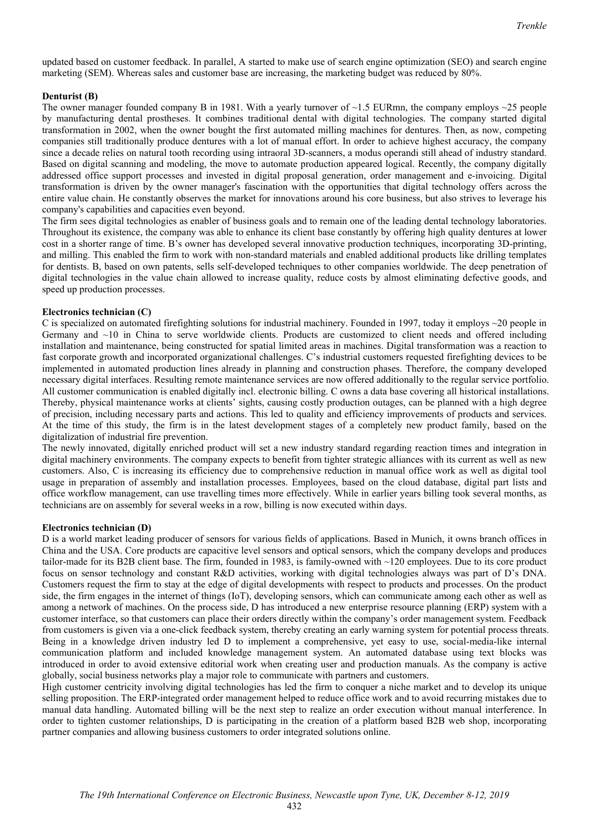updated based on customer feedback. In parallel, A started to make use of search engine optimization (SEO) and search engine marketing (SEM). Whereas sales and customer base are increasing, the marketing budget was reduced by 80%.

## **Denturist (B)**

The owner manager founded company B in 1981. With a yearly turnover of  $\sim$ 1.5 EURmn, the company employs  $\sim$ 25 people by manufacturing dental prostheses. It combines traditional dental with digital technologies. The company started digital transformation in 2002, when the owner bought the first automated milling machines for dentures. Then, as now, competing companies still traditionally produce dentures with a lot of manual effort. In order to achieve highest accuracy, the company since a decade relies on natural tooth recording using intraoral 3D-scanners, a modus operandi still ahead of industry standard. Based on digital scanning and modeling, the move to automate production appeared logical. Recently, the company digitally addressed office support processes and invested in digital proposal generation, order management and e-invoicing. Digital transformation is driven by the owner manager's fascination with the opportunities that digital technology offers across the entire value chain. He constantly observes the market for innovations around his core business, but also strives to leverage his company's capabilities and capacities even beyond.

The firm sees digital technologies as enabler of business goals and to remain one of the leading dental technology laboratories. Throughout its existence, the company was able to enhance its client base constantly by offering high quality dentures at lower cost in a shorter range of time. B's owner has developed several innovative production techniques, incorporating 3D-printing, and milling. This enabled the firm to work with non-standard materials and enabled additional products like drilling templates for dentists. B, based on own patents, sells self-developed techniques to other companies worldwide. The deep penetration of digital technologies in the value chain allowed to increase quality, reduce costs by almost eliminating defective goods, and speed up production processes.

### **Electronics technician (C)**

C is specialized on automated firefighting solutions for industrial machinery. Founded in 1997, today it employs  $\sim$ 20 people in Germany and ~10 in China to serve worldwide clients. Products are customized to client needs and offered including installation and maintenance, being constructed for spatial limited areas in machines. Digital transformation was a reaction to fast corporate growth and incorporated organizational challenges. C's industrial customers requested firefighting devices to be implemented in automated production lines already in planning and construction phases. Therefore, the company developed necessary digital interfaces. Resulting remote maintenance services are now offered additionally to the regular service portfolio. All customer communication is enabled digitally incl. electronic billing. C owns a data base covering all historical installations. Thereby, physical maintenance works at clients' sights, causing costly production outages, can be planned with a high degree of precision, including necessary parts and actions. This led to quality and efficiency improvements of products and services. At the time of this study, the firm is in the latest development stages of a completely new product family, based on the digitalization of industrial fire prevention.

The newly innovated, digitally enriched product will set a new industry standard regarding reaction times and integration in digital machinery environments. The company expects to benefit from tighter strategic alliances with its current as well as new customers. Also, C is increasing its efficiency due to comprehensive reduction in manual office work as well as digital tool usage in preparation of assembly and installation processes. Employees, based on the cloud database, digital part lists and office workflow management, can use travelling times more effectively. While in earlier years billing took several months, as technicians are on assembly for several weeks in a row, billing is now executed within days.

#### **Electronics technician (D)**

D is a world market leading producer of sensors for various fields of applications. Based in Munich, it owns branch offices in China and the USA. Core products are capacitive level sensors and optical sensors, which the company develops and produces tailor-made for its B2B client base. The firm, founded in 1983, is family-owned with ~120 employees. Due to its core product focus on sensor technology and constant R&D activities, working with digital technologies always was part of D's DNA. Customers request the firm to stay at the edge of digital developments with respect to products and processes. On the product side, the firm engages in the internet of things (IoT), developing sensors, which can communicate among each other as well as among a network of machines. On the process side, D has introduced a new enterprise resource planning (ERP) system with a customer interface, so that customers can place their orders directly within the company's order management system. Feedback from customers is given via a one-click feedback system, thereby creating an early warning system for potential process threats. Being in a knowledge driven industry led D to implement a comprehensive, yet easy to use, social-media-like internal communication platform and included knowledge management system. An automated database using text blocks was introduced in order to avoid extensive editorial work when creating user and production manuals. As the company is active globally, social business networks play a major role to communicate with partners and customers.

High customer centricity involving digital technologies has led the firm to conquer a niche market and to develop its unique selling proposition. The ERP-integrated order management helped to reduce office work and to avoid recurring mistakes due to manual data handling. Automated billing will be the next step to realize an order execution without manual interference. In order to tighten customer relationships, D is participating in the creation of a platform based B2B web shop, incorporating partner companies and allowing business customers to order integrated solutions online.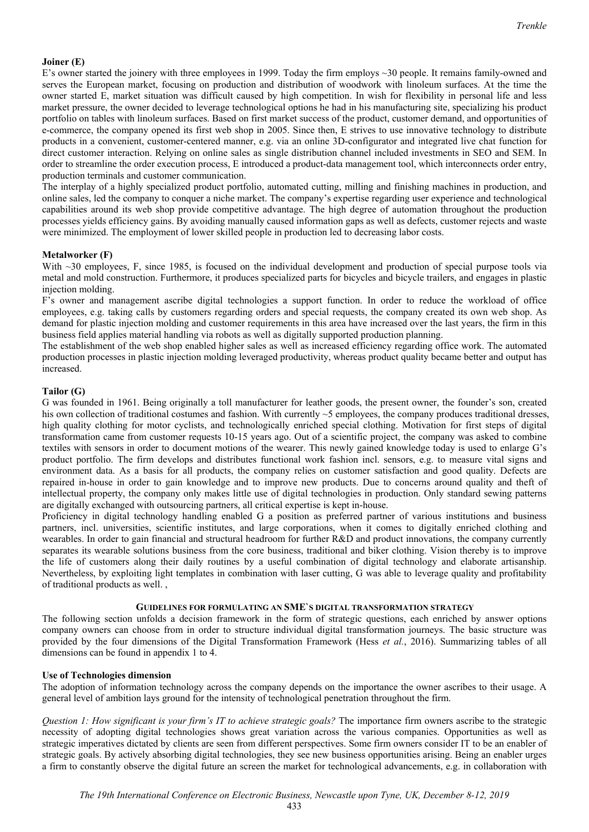## **Joiner (E)**

E's owner started the joinery with three employees in 1999. Today the firm employs ~30 people. It remains family-owned and serves the European market, focusing on production and distribution of woodwork with linoleum surfaces. At the time the owner started E, market situation was difficult caused by high competition. In wish for flexibility in personal life and less market pressure, the owner decided to leverage technological options he had in his manufacturing site, specializing his product portfolio on tables with linoleum surfaces. Based on first market success of the product, customer demand, and opportunities of e-commerce, the company opened its first web shop in 2005. Since then, E strives to use innovative technology to distribute products in a convenient, customer-centered manner, e.g. via an online 3D-configurator and integrated live chat function for direct customer interaction. Relying on online sales as single distribution channel included investments in SEO and SEM. In order to streamline the order execution process, E introduced a product-data management tool, which interconnects order entry, production terminals and customer communication.

The interplay of a highly specialized product portfolio, automated cutting, milling and finishing machines in production, and online sales, led the company to conquer a niche market. The company's expertise regarding user experience and technological capabilities around its web shop provide competitive advantage. The high degree of automation throughout the production processes yields efficiency gains. By avoiding manually caused information gaps as well as defects, customer rejects and waste were minimized. The employment of lower skilled people in production led to decreasing labor costs.

### **Metalworker (F)**

With ~30 employees, F, since 1985, is focused on the individual development and production of special purpose tools via metal and mold construction. Furthermore, it produces specialized parts for bicycles and bicycle trailers, and engages in plastic injection molding.

F's owner and management ascribe digital technologies a support function. In order to reduce the workload of office employees, e.g. taking calls by customers regarding orders and special requests, the company created its own web shop. As demand for plastic injection molding and customer requirements in this area have increased over the last years, the firm in this business field applies material handling via robots as well as digitally supported production planning.

The establishment of the web shop enabled higher sales as well as increased efficiency regarding office work. The automated production processes in plastic injection molding leveraged productivity, whereas product quality became better and output has increased.

#### **Tailor (G)**

G was founded in 1961. Being originally a toll manufacturer for leather goods, the present owner, the founder's son, created his own collection of traditional costumes and fashion. With currently ~5 employees, the company produces traditional dresses, high quality clothing for motor cyclists, and technologically enriched special clothing. Motivation for first steps of digital transformation came from customer requests 10-15 years ago. Out of a scientific project, the company was asked to combine textiles with sensors in order to document motions of the wearer. This newly gained knowledge today is used to enlarge G's product portfolio. The firm develops and distributes functional work fashion incl. sensors, e.g. to measure vital signs and environment data. As a basis for all products, the company relies on customer satisfaction and good quality. Defects are repaired in-house in order to gain knowledge and to improve new products. Due to concerns around quality and theft of intellectual property, the company only makes little use of digital technologies in production. Only standard sewing patterns are digitally exchanged with outsourcing partners, all critical expertise is kept in-house.

Proficiency in digital technology handling enabled G a position as preferred partner of various institutions and business partners, incl. universities, scientific institutes, and large corporations, when it comes to digitally enriched clothing and wearables. In order to gain financial and structural headroom for further R&D and product innovations, the company currently separates its wearable solutions business from the core business, traditional and biker clothing. Vision thereby is to improve the life of customers along their daily routines by a useful combination of digital technology and elaborate artisanship. Nevertheless, by exploiting light templates in combination with laser cutting, G was able to leverage quality and profitability of traditional products as well. ,

### **GUIDELINES FOR FORMULATING AN SME`S DIGITAL TRANSFORMATION STRATEGY**

The following section unfolds a decision framework in the form of strategic questions, each enriched by answer options company owners can choose from in order to structure individual digital transformation journeys. The basic structure was provided by the four dimensions of the Digital Transformation Framework (Hess *et al.*, 2016). Summarizing tables of all dimensions can be found in appendix 1 to 4.

### **Use of Technologies dimension**

The adoption of information technology across the company depends on the importance the owner ascribes to their usage. A general level of ambition lays ground for the intensity of technological penetration throughout the firm.

*Question 1: How significant is your firm's IT to achieve strategic goals?* The importance firm owners ascribe to the strategic necessity of adopting digital technologies shows great variation across the various companies. Opportunities as well as strategic imperatives dictated by clients are seen from different perspectives. Some firm owners consider IT to be an enabler of strategic goals. By actively absorbing digital technologies, they see new business opportunities arising. Being an enabler urges a firm to constantly observe the digital future an screen the market for technological advancements, e.g. in collaboration with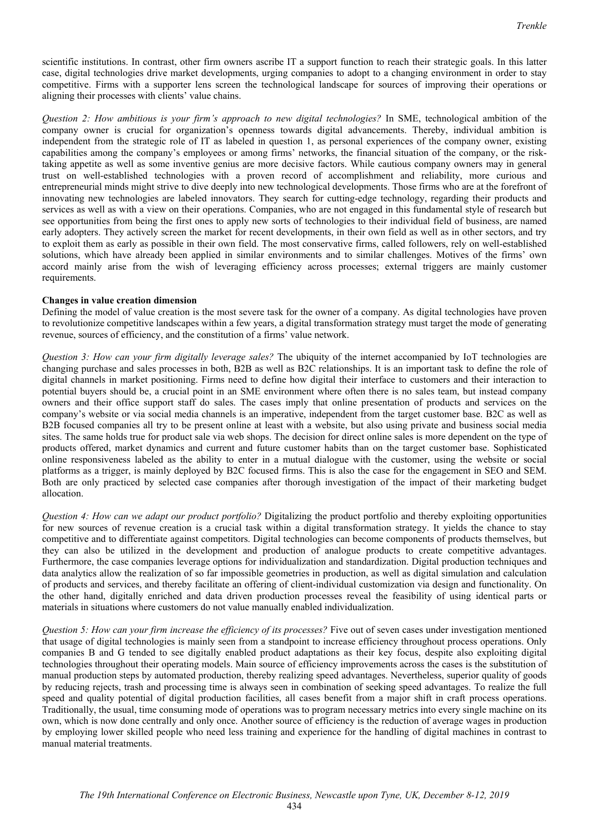scientific institutions. In contrast, other firm owners ascribe IT a support function to reach their strategic goals. In this latter case, digital technologies drive market developments, urging companies to adopt to a changing environment in order to stay competitive. Firms with a supporter lens screen the technological landscape for sources of improving their operations or aligning their processes with clients' value chains.

*Question 2: How ambitious is your firm's approach to new digital technologies?* In SME, technological ambition of the company owner is crucial for organization's openness towards digital advancements. Thereby, individual ambition is independent from the strategic role of IT as labeled in question 1, as personal experiences of the company owner, existing capabilities among the company's employees or among firms' networks, the financial situation of the company, or the risktaking appetite as well as some inventive genius are more decisive factors. While cautious company owners may in general trust on well-established technologies with a proven record of accomplishment and reliability, more curious and entrepreneurial minds might strive to dive deeply into new technological developments. Those firms who are at the forefront of innovating new technologies are labeled innovators. They search for cutting-edge technology, regarding their products and services as well as with a view on their operations. Companies, who are not engaged in this fundamental style of research but see opportunities from being the first ones to apply new sorts of technologies to their individual field of business, are named early adopters. They actively screen the market for recent developments, in their own field as well as in other sectors, and try to exploit them as early as possible in their own field. The most conservative firms, called followers, rely on well-established solutions, which have already been applied in similar environments and to similar challenges. Motives of the firms' own accord mainly arise from the wish of leveraging efficiency across processes; external triggers are mainly customer requirements.

### **Changes in value creation dimension**

Defining the model of value creation is the most severe task for the owner of a company. As digital technologies have proven to revolutionize competitive landscapes within a few years, a digital transformation strategy must target the mode of generating revenue, sources of efficiency, and the constitution of a firms' value network.

*Question 3: How can your firm digitally leverage sales?* The ubiquity of the internet accompanied by IoT technologies are changing purchase and sales processes in both, B2B as well as B2C relationships. It is an important task to define the role of digital channels in market positioning. Firms need to define how digital their interface to customers and their interaction to potential buyers should be, a crucial point in an SME environment where often there is no sales team, but instead company owners and their office support staff do sales. The cases imply that online presentation of products and services on the company's website or via social media channels is an imperative, independent from the target customer base. B2C as well as B2B focused companies all try to be present online at least with a website, but also using private and business social media sites. The same holds true for product sale via web shops. The decision for direct online sales is more dependent on the type of products offered, market dynamics and current and future customer habits than on the target customer base. Sophisticated online responsiveness labeled as the ability to enter in a mutual dialogue with the customer, using the website or social platforms as a trigger, is mainly deployed by B2C focused firms. This is also the case for the engagement in SEO and SEM. Both are only practiced by selected case companies after thorough investigation of the impact of their marketing budget allocation.

*Question 4: How can we adapt our product portfolio?* Digitalizing the product portfolio and thereby exploiting opportunities for new sources of revenue creation is a crucial task within a digital transformation strategy. It yields the chance to stay competitive and to differentiate against competitors. Digital technologies can become components of products themselves, but they can also be utilized in the development and production of analogue products to create competitive advantages. Furthermore, the case companies leverage options for individualization and standardization. Digital production techniques and data analytics allow the realization of so far impossible geometries in production, as well as digital simulation and calculation of products and services, and thereby facilitate an offering of client-individual customization via design and functionality. On the other hand, digitally enriched and data driven production processes reveal the feasibility of using identical parts or materials in situations where customers do not value manually enabled individualization.

*Question 5: How can your firm increase the efficiency of its processes?* Five out of seven cases under investigation mentioned that usage of digital technologies is mainly seen from a standpoint to increase efficiency throughout process operations. Only companies B and G tended to see digitally enabled product adaptations as their key focus, despite also exploiting digital technologies throughout their operating models. Main source of efficiency improvements across the cases is the substitution of manual production steps by automated production, thereby realizing speed advantages. Nevertheless, superior quality of goods by reducing rejects, trash and processing time is always seen in combination of seeking speed advantages. To realize the full speed and quality potential of digital production facilities, all cases benefit from a major shift in craft process operations. Traditionally, the usual, time consuming mode of operations was to program necessary metrics into every single machine on its own, which is now done centrally and only once. Another source of efficiency is the reduction of average wages in production by employing lower skilled people who need less training and experience for the handling of digital machines in contrast to manual material treatments.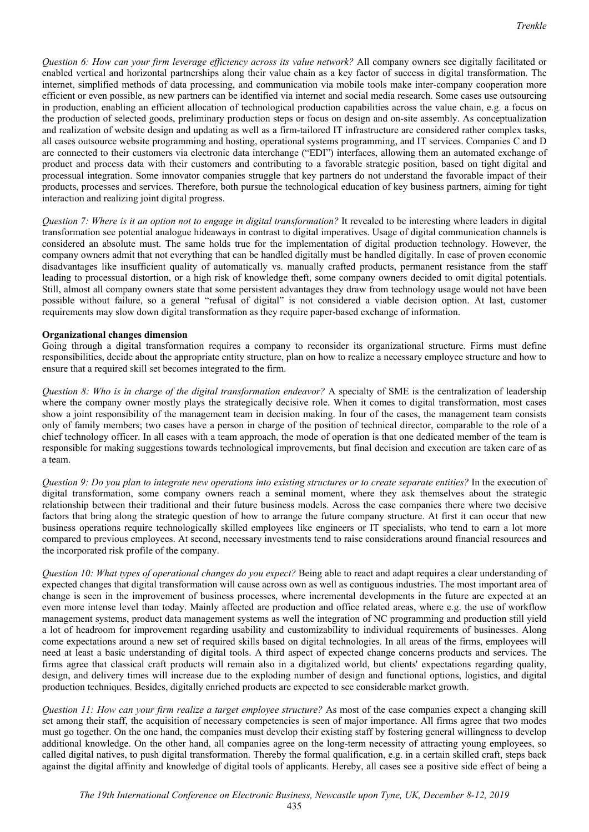*Question 6: How can your firm leverage efficiency across its value network?* All company owners see digitally facilitated or enabled vertical and horizontal partnerships along their value chain as a key factor of success in digital transformation. The internet, simplified methods of data processing, and communication via mobile tools make inter-company cooperation more efficient or even possible, as new partners can be identified via internet and social media research. Some cases use outsourcing in production, enabling an efficient allocation of technological production capabilities across the value chain, e.g. a focus on the production of selected goods, preliminary production steps or focus on design and on-site assembly. As conceptualization and realization of website design and updating as well as a firm-tailored IT infrastructure are considered rather complex tasks, all cases outsource website programming and hosting, operational systems programming, and IT services. Companies C and D are connected to their customers via electronic data interchange ("EDI") interfaces, allowing them an automated exchange of product and process data with their customers and contributing to a favorable strategic position, based on tight digital and processual integration. Some innovator companies struggle that key partners do not understand the favorable impact of their products, processes and services. Therefore, both pursue the technological education of key business partners, aiming for tight interaction and realizing joint digital progress.

*Question 7: Where is it an option not to engage in digital transformation?* It revealed to be interesting where leaders in digital transformation see potential analogue hideaways in contrast to digital imperatives. Usage of digital communication channels is considered an absolute must. The same holds true for the implementation of digital production technology. However, the company owners admit that not everything that can be handled digitally must be handled digitally. In case of proven economic disadvantages like insufficient quality of automatically vs. manually crafted products, permanent resistance from the staff leading to processual distortion, or a high risk of knowledge theft, some company owners decided to omit digital potentials. Still, almost all company owners state that some persistent advantages they draw from technology usage would not have been possible without failure, so a general "refusal of digital" is not considered a viable decision option. At last, customer requirements may slow down digital transformation as they require paper-based exchange of information.

## **Organizational changes dimension**

Going through a digital transformation requires a company to reconsider its organizational structure. Firms must define responsibilities, decide about the appropriate entity structure, plan on how to realize a necessary employee structure and how to ensure that a required skill set becomes integrated to the firm.

*Question 8: Who is in charge of the digital transformation endeavor?* A specialty of SME is the centralization of leadership where the company owner mostly plays the strategically decisive role. When it comes to digital transformation, most cases show a joint responsibility of the management team in decision making. In four of the cases, the management team consists only of family members; two cases have a person in charge of the position of technical director, comparable to the role of a chief technology officer. In all cases with a team approach, the mode of operation is that one dedicated member of the team is responsible for making suggestions towards technological improvements, but final decision and execution are taken care of as a team.

*Question 9: Do you plan to integrate new operations into existing structures or to create separate entities?* In the execution of digital transformation, some company owners reach a seminal moment, where they ask themselves about the strategic relationship between their traditional and their future business models. Across the case companies there where two decisive factors that bring along the strategic question of how to arrange the future company structure. At first it can occur that new business operations require technologically skilled employees like engineers or IT specialists, who tend to earn a lot more compared to previous employees. At second, necessary investments tend to raise considerations around financial resources and the incorporated risk profile of the company.

*Question 10: What types of operational changes do you expect?* Being able to react and adapt requires a clear understanding of expected changes that digital transformation will cause across own as well as contiguous industries. The most important area of change is seen in the improvement of business processes, where incremental developments in the future are expected at an even more intense level than today. Mainly affected are production and office related areas, where e.g. the use of workflow management systems, product data management systems as well the integration of NC programming and production still yield a lot of headroom for improvement regarding usability and customizability to individual requirements of businesses. Along come expectations around a new set of required skills based on digital technologies. In all areas of the firms, employees will need at least a basic understanding of digital tools. A third aspect of expected change concerns products and services. The firms agree that classical craft products will remain also in a digitalized world, but clients' expectations regarding quality, design, and delivery times will increase due to the exploding number of design and functional options, logistics, and digital production techniques. Besides, digitally enriched products are expected to see considerable market growth.

*Question 11: How can your firm realize a target employee structure?* As most of the case companies expect a changing skill set among their staff, the acquisition of necessary competencies is seen of major importance. All firms agree that two modes must go together. On the one hand, the companies must develop their existing staff by fostering general willingness to develop additional knowledge. On the other hand, all companies agree on the long-term necessity of attracting young employees, so called digital natives, to push digital transformation. Thereby the formal qualification, e.g. in a certain skilled craft, steps back against the digital affinity and knowledge of digital tools of applicants. Hereby, all cases see a positive side effect of being a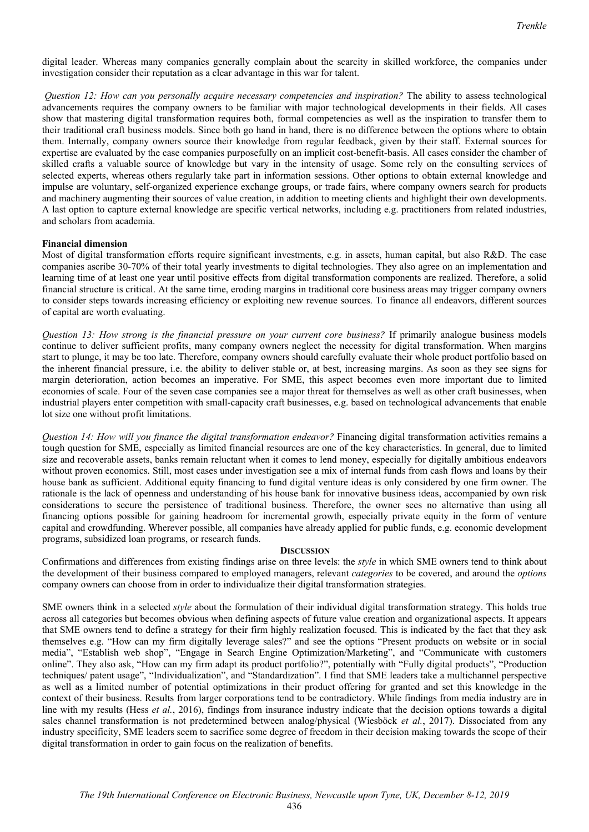digital leader. Whereas many companies generally complain about the scarcity in skilled workforce, the companies under investigation consider their reputation as a clear advantage in this war for talent.

*Question 12: How can you personally acquire necessary competencies and inspiration?* The ability to assess technological advancements requires the company owners to be familiar with major technological developments in their fields. All cases show that mastering digital transformation requires both, formal competencies as well as the inspiration to transfer them to their traditional craft business models. Since both go hand in hand, there is no difference between the options where to obtain them. Internally, company owners source their knowledge from regular feedback, given by their staff. External sources for expertise are evaluated by the case companies purposefully on an implicit cost-benefit-basis. All cases consider the chamber of skilled crafts a valuable source of knowledge but vary in the intensity of usage. Some rely on the consulting services of selected experts, whereas others regularly take part in information sessions. Other options to obtain external knowledge and impulse are voluntary, self-organized experience exchange groups, or trade fairs, where company owners search for products and machinery augmenting their sources of value creation, in addition to meeting clients and highlight their own developments. A last option to capture external knowledge are specific vertical networks, including e.g. practitioners from related industries, and scholars from academia.

### **Financial dimension**

Most of digital transformation efforts require significant investments, e.g. in assets, human capital, but also R&D. The case companies ascribe 30-70% of their total yearly investments to digital technologies. They also agree on an implementation and learning time of at least one year until positive effects from digital transformation components are realized. Therefore, a solid financial structure is critical. At the same time, eroding margins in traditional core business areas may trigger company owners to consider steps towards increasing efficiency or exploiting new revenue sources. To finance all endeavors, different sources of capital are worth evaluating.

*Question 13: How strong is the financial pressure on your current core business?* If primarily analogue business models continue to deliver sufficient profits, many company owners neglect the necessity for digital transformation. When margins start to plunge, it may be too late. Therefore, company owners should carefully evaluate their whole product portfolio based on the inherent financial pressure, i.e. the ability to deliver stable or, at best, increasing margins. As soon as they see signs for margin deterioration, action becomes an imperative. For SME, this aspect becomes even more important due to limited economies of scale. Four of the seven case companies see a major threat for themselves as well as other craft businesses, when industrial players enter competition with small-capacity craft businesses, e.g. based on technological advancements that enable lot size one without profit limitations.

*Question 14: How will you finance the digital transformation endeavor?* Financing digital transformation activities remains a tough question for SME, especially as limited financial resources are one of the key characteristics. In general, due to limited size and recoverable assets, banks remain reluctant when it comes to lend money, especially for digitally ambitious endeavors without proven economics. Still, most cases under investigation see a mix of internal funds from cash flows and loans by their house bank as sufficient. Additional equity financing to fund digital venture ideas is only considered by one firm owner. The rationale is the lack of openness and understanding of his house bank for innovative business ideas, accompanied by own risk considerations to secure the persistence of traditional business. Therefore, the owner sees no alternative than using all financing options possible for gaining headroom for incremental growth, especially private equity in the form of venture capital and crowdfunding. Wherever possible, all companies have already applied for public funds, e.g. economic development programs, subsidized loan programs, or research funds.

#### **DISCUSSION**

Confirmations and differences from existing findings arise on three levels: the *style* in which SME owners tend to think about the development of their business compared to employed managers, relevant *categories* to be covered, and around the *options* company owners can choose from in order to individualize their digital transformation strategies.

SME owners think in a selected *style* about the formulation of their individual digital transformation strategy. This holds true across all categories but becomes obvious when defining aspects of future value creation and organizational aspects. It appears that SME owners tend to define a strategy for their firm highly realization focused. This is indicated by the fact that they ask themselves e.g. "How can my firm digitally leverage sales?" and see the options "Present products on website or in social media", "Establish web shop", "Engage in Search Engine Optimization/Marketing", and "Communicate with customers online". They also ask, "How can my firm adapt its product portfolio?", potentially with "Fully digital products", "Production techniques/ patent usage", "Individualization", and "Standardization". I find that SME leaders take a multichannel perspective as well as a limited number of potential optimizations in their product offering for granted and set this knowledge in the context of their business. Results from larger corporations tend to be contradictory. While findings from media industry are in line with my results (Hess *et al.*, 2016), findings from insurance industry indicate that the decision options towards a digital sales channel transformation is not predetermined between analog/physical (Wiesböck *et al.*, 2017). Dissociated from any industry specificity, SME leaders seem to sacrifice some degree of freedom in their decision making towards the scope of their digital transformation in order to gain focus on the realization of benefits.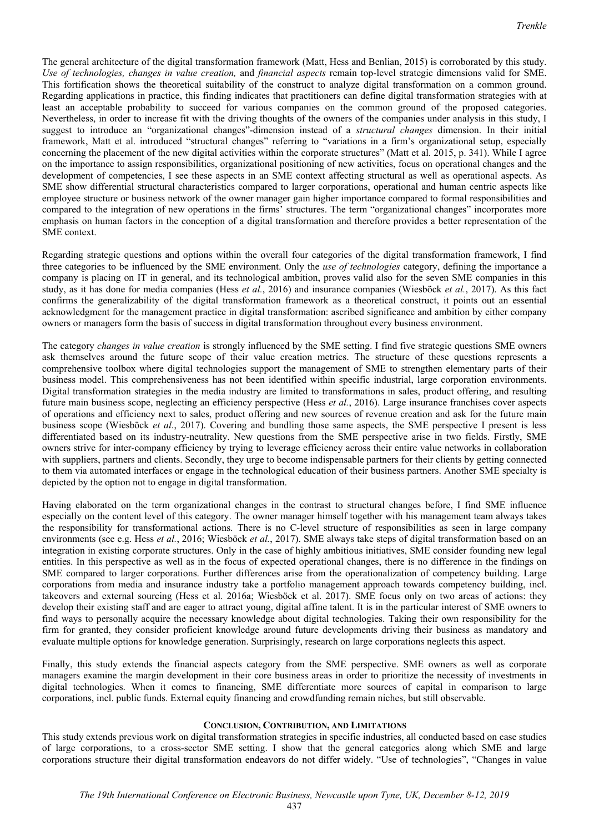The general architecture of the digital transformation framework (Matt, Hess and Benlian, 2015) is corroborated by this study. *Use of technologies, changes in value creation,* and *financial aspects* remain top-level strategic dimensions valid for SME. This fortification shows the theoretical suitability of the construct to analyze digital transformation on a common ground. Regarding applications in practice, this finding indicates that practitioners can define digital transformation strategies with at least an acceptable probability to succeed for various companies on the common ground of the proposed categories. Nevertheless, in order to increase fit with the driving thoughts of the owners of the companies under analysis in this study, I suggest to introduce an "organizational changes"-dimension instead of a *structural changes* dimension. In their initial framework, Matt et al. introduced "structural changes" referring to "variations in a firm's organizational setup, especially concerning the placement of the new digital activities within the corporate structures" (Matt et al. 2015, p. 341). While I agree on the importance to assign responsibilities, organizational positioning of new activities, focus on operational changes and the development of competencies, I see these aspects in an SME context affecting structural as well as operational aspects. As SME show differential structural characteristics compared to larger corporations, operational and human centric aspects like employee structure or business network of the owner manager gain higher importance compared to formal responsibilities and compared to the integration of new operations in the firms' structures. The term "organizational changes" incorporates more emphasis on human factors in the conception of a digital transformation and therefore provides a better representation of the SME context.

Regarding strategic questions and options within the overall four categories of the digital transformation framework, I find three categories to be influenced by the SME environment. Only the *use of technologies* category, defining the importance a company is placing on IT in general, and its technological ambition, proves valid also for the seven SME companies in this study, as it has done for media companies (Hess *et al.*, 2016) and insurance companies (Wiesböck *et al.*, 2017). As this fact confirms the generalizability of the digital transformation framework as a theoretical construct, it points out an essential acknowledgment for the management practice in digital transformation: ascribed significance and ambition by either company owners or managers form the basis of success in digital transformation throughout every business environment.

The category *changes in value creation* is strongly influenced by the SME setting. I find five strategic questions SME owners ask themselves around the future scope of their value creation metrics. The structure of these questions represents a comprehensive toolbox where digital technologies support the management of SME to strengthen elementary parts of their business model. This comprehensiveness has not been identified within specific industrial, large corporation environments. Digital transformation strategies in the media industry are limited to transformations in sales, product offering, and resulting future main business scope, neglecting an efficiency perspective (Hess *et al.*, 2016). Large insurance franchises cover aspects of operations and efficiency next to sales, product offering and new sources of revenue creation and ask for the future main business scope (Wiesböck *et al.*, 2017). Covering and bundling those same aspects, the SME perspective I present is less differentiated based on its industry-neutrality. New questions from the SME perspective arise in two fields. Firstly, SME owners strive for inter-company efficiency by trying to leverage efficiency across their entire value networks in collaboration with suppliers, partners and clients. Secondly, they urge to become indispensable partners for their clients by getting connected to them via automated interfaces or engage in the technological education of their business partners. Another SME specialty is depicted by the option not to engage in digital transformation.

Having elaborated on the term organizational changes in the contrast to structural changes before, I find SME influence especially on the content level of this category. The owner manager himself together with his management team always takes the responsibility for transformational actions. There is no C-level structure of responsibilities as seen in large company environments (see e.g. Hess *et al.*, 2016; Wiesböck *et al.*, 2017). SME always take steps of digital transformation based on an integration in existing corporate structures. Only in the case of highly ambitious initiatives, SME consider founding new legal entities. In this perspective as well as in the focus of expected operational changes, there is no difference in the findings on SME compared to larger corporations. Further differences arise from the operationalization of competency building. Large corporations from media and insurance industry take a portfolio management approach towards competency building, incl. takeovers and external sourcing (Hess et al. 2016a; Wiesböck et al. 2017). SME focus only on two areas of actions: they develop their existing staff and are eager to attract young, digital affine talent. It is in the particular interest of SME owners to find ways to personally acquire the necessary knowledge about digital technologies. Taking their own responsibility for the firm for granted, they consider proficient knowledge around future developments driving their business as mandatory and evaluate multiple options for knowledge generation. Surprisingly, research on large corporations neglects this aspect.

Finally, this study extends the financial aspects category from the SME perspective. SME owners as well as corporate managers examine the margin development in their core business areas in order to prioritize the necessity of investments in digital technologies. When it comes to financing, SME differentiate more sources of capital in comparison to large corporations, incl. public funds. External equity financing and crowdfunding remain niches, but still observable.

#### **CONCLUSION, CONTRIBUTION, AND LIMITATIONS**

This study extends previous work on digital transformation strategies in specific industries, all conducted based on case studies of large corporations, to a cross-sector SME setting. I show that the general categories along which SME and large corporations structure their digital transformation endeavors do not differ widely. "Use of technologies", "Changes in value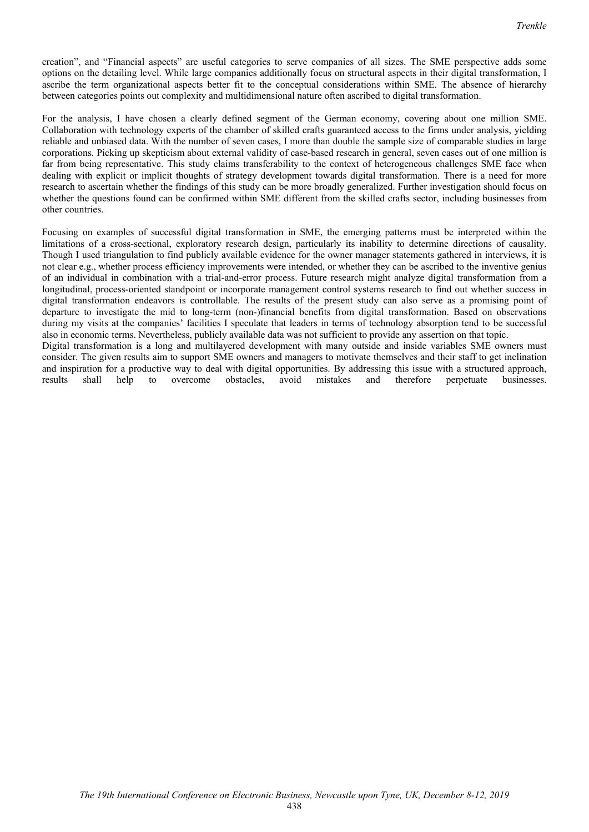creation", and "Financial aspects" are useful categories to serve companies of all sizes. The SME perspective adds some options on the detailing level. While large companies additionally focus on structural aspects in their digital transformation, I ascribe the term organizational aspects better fit to the conceptual considerations within SME. The absence of hierarchy between categories points out complexity and multidimensional nature often ascribed to digital transformation.

For the analysis, I have chosen a clearly defined segment of the German economy, covering about one million SME. Collaboration with technology experts of the chamber of skilled crafts guaranteed access to the firms under analysis, yielding reliable and unbiased data. With the number of seven cases, I more than double the sample size of comparable studies in large corporations. Picking up skepticism about external validity of case-based research in general, seven cases out of one million is far from being representative. This study claims transferability to the context of heterogeneous challenges SME face when dealing with explicit or implicit thoughts of strategy development towards digital transformation. There is a need for more research to ascertain whether the findings of this study can be more broadly generalized. Further investigation should focus on whether the questions found can be confirmed within SME different from the skilled crafts sector, including businesses from other countries.

Focusing on examples of successful digital transformation in SME, the emerging patterns must be interpreted within the limitations of a cross-sectional, exploratory research design, particularly its inability to determine directions of causality. Though I used triangulation to find publicly available evidence for the owner manager statements gathered in interviews, it is not clear e.g., whether process efficiency improvements were intended, or whether they can be ascribed to the inventive genius of an individual in combination with a trial-and-error process. Future research might analyze digital transformation from a longitudinal, process-oriented standpoint or incorporate management control systems research to find out whether success in digital transformation endeavors is controllable. The results of the present study can also serve as a promising point of departure to investigate the mid to long-term (non-)financial benefits from digital transformation. Based on observations during my visits at the companies' facilities I speculate that leaders in terms of technology absorption tend to be successful also in economic terms. Nevertheless, publicly available data was not sufficient to provide any assertion on that topic. Digital transformation is a long and multilayered development with many outside and inside variables SME owners must

consider. The given results aim to support SME owners and managers to motivate themselves and their staff to get inclination and inspiration for a productive way to deal with digital opportunities. By addressing this issue with a structured approach, results shall help to overcome obstacles, avoid mistakes and therefore perpetuate businesses.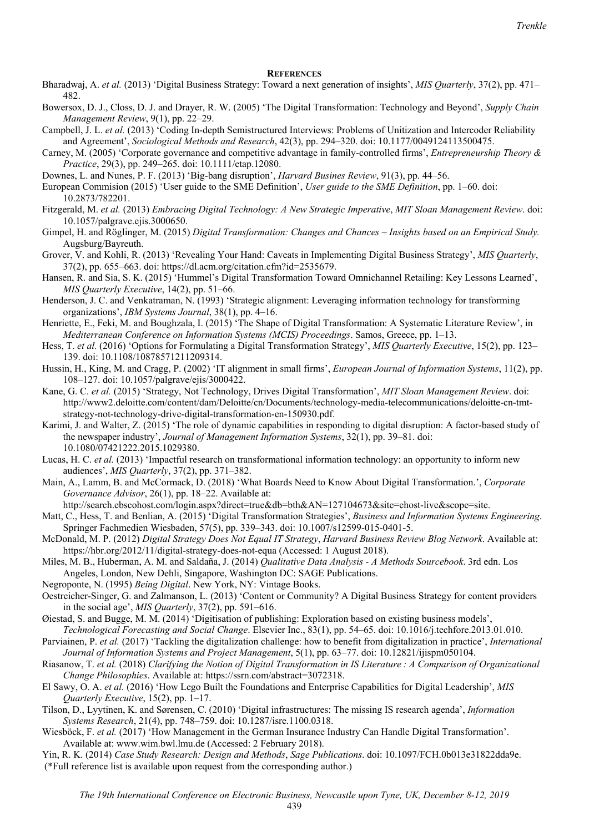#### **REFERENCES**

- Bharadwaj, A. *et al.* (2013) 'Digital Business Strategy: Toward a next generation of insights', *MIS Quarterly*, 37(2), pp. 471– 482.
- Bowersox, D. J., Closs, D. J. and Drayer, R. W. (2005) 'The Digital Transformation: Technology and Beyond', *Supply Chain Management Review*, 9(1), pp. 22–29.
- Campbell, J. L. *et al.* (2013) 'Coding In-depth Semistructured Interviews: Problems of Unitization and Intercoder Reliability and Agreement', *Sociological Methods and Research*, 42(3), pp. 294–320. doi: 10.1177/0049124113500475.
- Carney, M. (2005) 'Corporate governance and competitive advantage in family-controlled firms', *Entrepreneurship Theory & Practice*, 29(3), pp. 249–265. doi: 10.1111/etap.12080.
- Downes, L. and Nunes, P. F. (2013) 'Big-bang disruption', *Harvard Busines Review*, 91(3), pp. 44–56.
- European Commision (2015) 'User guide to the SME Definition', *User guide to the SME Definition*, pp. 1–60. doi: 10.2873/782201.
- Fitzgerald, M. *et al.* (2013) *Embracing Digital Technology: A New Strategic Imperative*, *MIT Sloan Management Review*. doi: 10.1057/palgrave.ejis.3000650.
- Gimpel, H. and Röglinger, M. (2015) *Digital Transformation: Changes and Chances Insights based on an Empirical Study.* Augsburg/Bayreuth.
- Grover, V. and Kohli, R. (2013) 'Revealing Your Hand: Caveats in Implementing Digital Business Strategy', *MIS Quarterly*, 37(2), pp. 655–663. doi: https://dl.acm.org/citation.cfm?id=2535679.
- Hansen, R. and Sia, S. K. (2015) 'Hummel's Digital Transformation Toward Omnichannel Retailing: Key Lessons Learned', *MIS Quarterly Executive*, 14(2), pp. 51–66.
- Henderson, J. C. and Venkatraman, N. (1993) 'Strategic alignment: Leveraging information technology for transforming organizations', *IBM Systems Journal*, 38(1), pp. 4–16.
- Henriette, E., Feki, M. and Boughzala, I. (2015) 'The Shape of Digital Transformation: A Systematic Literature Review', in *Mediterranean Conference on Information Systems (MCIS) Proceedings*. Samos, Greece, pp. 1–13.
- Hess, T. *et al.* (2016) 'Options for Formulating a Digital Transformation Strategy', *MIS Quarterly Executive*, 15(2), pp. 123– 139. doi: 10.1108/10878571211209314.
- Hussin, H., King, M. and Cragg, P. (2002) 'IT alignment in small firms', *European Journal of Information Systems*, 11(2), pp. 108–127. doi: 10.1057/palgrave/ejis/3000422.
- Kane, G. C. *et al.* (2015) 'Strategy, Not Technology, Drives Digital Transformation', *MIT Sloan Management Review*. doi: http://www2.deloitte.com/content/dam/Deloitte/cn/Documents/technology-media-telecommunications/deloitte-cn-tmtstrategy-not-technology-drive-digital-transformation-en-150930.pdf.
- Karimi, J. and Walter, Z. (2015) 'The role of dynamic capabilities in responding to digital disruption: A factor-based study of the newspaper industry', *Journal of Management Information Systems*, 32(1), pp. 39–81. doi: 10.1080/07421222.2015.1029380.
- Lucas, H. C. *et al.* (2013) 'Impactful research on transformational information technology: an opportunity to inform new audiences', *MIS Quarterly*, 37(2), pp. 371–382.
- Main, A., Lamm, B. and McCormack, D. (2018) 'What Boards Need to Know About Digital Transformation.', *Corporate Governance Advisor*, 26(1), pp. 18–22. Available at:
- http://search.ebscohost.com/login.aspx?direct=true&db=bth&AN=127104673&site=ehost-live&scope=site.
- Matt, C., Hess, T. and Benlian, A. (2015) 'Digital Transformation Strategies', *Business and Information Systems Engineering*. Springer Fachmedien Wiesbaden, 57(5), pp. 339–343. doi: 10.1007/s12599-015-0401-5.
- McDonald, M. P. (2012) *Digital Strategy Does Not Equal IT Strategy*, *Harvard Business Review Blog Network*. Available at: https://hbr.org/2012/11/digital-strategy-does-not-equa (Accessed: 1 August 2018).
- Miles, M. B., Huberman, A. M. and Saldaña, J. (2014) *Qualitative Data Analysis A Methods Sourcebook*. 3rd edn. Los Angeles, London, New Dehli, Singapore, Washington DC: SAGE Publications.
- Negroponte, N. (1995) *Being Digital*. New York, NY: Vintage Books.
- Oestreicher-Singer, G. and Zalmanson, L. (2013) 'Content or Community? A Digital Business Strategy for content providers in the social age', *MIS Quarterly*, 37(2), pp. 591–616.
- Øiestad, S. and Bugge, M. M. (2014) 'Digitisation of publishing: Exploration based on existing business models', *Technological Forecasting and Social Change*. Elsevier Inc., 83(1), pp. 54–65. doi: 10.1016/j.techfore.2013.01.010.
- Parviainen, P. *et al.* (2017) 'Tackling the digitalization challenge: how to benefit from digitalization in practice', *International Journal of Information Systems and Project Management*, 5(1), pp. 63–77. doi: 10.12821/ijispm050104.
- Riasanow, T. *et al.* (2018) *Clarifying the Notion of Digital Transformation in IS Literature : A Comparison of Organizational Change Philosophies*. Available at: https://ssrn.com/abstract=3072318.
- El Sawy, O. A. *et al.* (2016) 'How Lego Built the Foundations and Enterprise Capabilities for Digital Leadership', *MIS Quarterly Executive*, 15(2), pp. 1–17.
- Tilson, D., Lyytinen, K. and Sørensen, C. (2010) 'Digital infrastructures: The missing IS research agenda', *Information Systems Research*, 21(4), pp. 748–759. doi: 10.1287/isre.1100.0318.
- Wiesböck, F. *et al.* (2017) 'How Management in the German Insurance Industry Can Handle Digital Transformation'. Available at: www.wim.bwl.lmu.de (Accessed: 2 February 2018).
- Yin, R. K. (2014) *Case Study Research: Design and Methods*, *Sage Publications*. doi: 10.1097/FCH.0b013e31822dda9e. (\*Full reference list is available upon request from the corresponding author.)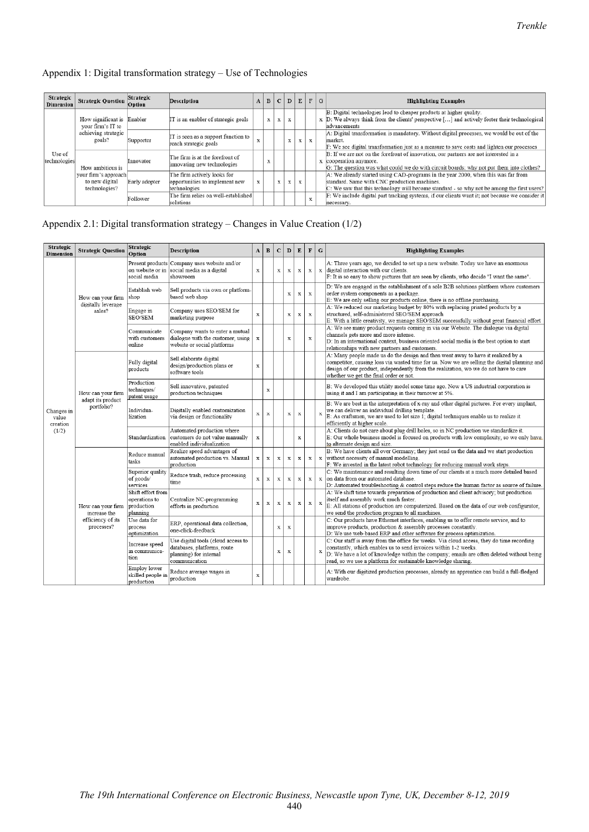## Appendix 1: Digital transformation strategy – Use of Technologies

| Strategic<br><b>Dimension</b> | <b>Strategic Question</b>                                                        | Strategic<br>Option | <b>Description</b>                                                            |   |   |              | $A \mid B \mid C \mid D \mid E$ |   | F G         | <b>Highlighting Examples</b>                                                                                                                                                                                                    |
|-------------------------------|----------------------------------------------------------------------------------|---------------------|-------------------------------------------------------------------------------|---|---|--------------|---------------------------------|---|-------------|---------------------------------------------------------------------------------------------------------------------------------------------------------------------------------------------------------------------------------|
|                               | How significant is Enabler<br>your firm's IT to<br>achieving strategic<br>goals? |                     | IT is an enabler of strategic goals                                           |   | x | $\mathbf{x}$ | $\mathbf{x}$                    |   |             | B: Digital technologies lead to cheaper products at higher quality.<br>x D: We always think from the clients' perspective [] and actively foster their technological<br>advancements                                            |
|                               |                                                                                  | Supporter           | IT is seen as a support function to<br>reach strategic goals                  | v |   |              | x                               | x | $\mathbf x$ | A: Digital transformation is mandatory. Without digital processes, we would be out of the<br>market.<br>F: We see digital transformation just as a measure to save costs and lighten our processes                              |
| Use of<br>technologies        | How ambitious is                                                                 | Innovator           | The firm is at the forefront of<br>innovating new technologies                |   |   |              |                                 |   |             | B: If we are not on the forefront of innovation, our partners are not interested in a<br>x cooperation anymore.<br>G: The question was what could we do with circuit boards; why not put them into clothes?                     |
|                               | your firm's approach<br>to new digital<br>technologies?                          | Early adopter       | The firm actively looks for<br>opportunities to implement new<br>technologies | x |   | X            | x                               |   |             | A: We already started using CAD-programs in the year 2000, when this was far from<br>standard. Same with CNC production machines.<br>C: We saw that this technology will become standard - so why not be among the first users? |
|                               |                                                                                  | Follower            | The firm relies on well-established<br>solutions                              |   |   |              |                                 |   | x           | F: We include digital part tracking systems, if our clients want it; not because we consider it<br>necessary.                                                                                                                   |

## Appendix 2.1: Digital transformation strategy – Changes in Value Creation (1/2)

| Strategic<br><b>Dimension</b>   | <b>Strategic Question</b>                            | Strategic<br>Option                                          | <b>Description</b>                                                                                           | $\mathbf A$ | $\bf{B}$    | $\mathbf{C}$ | $\mathbf D$  | ${\bf E}$   | $\mathbf F$ | $\mathbf G$  | <b>Highlighting Examples</b>                                                                                                                                                                                                                                                                                             |
|---------------------------------|------------------------------------------------------|--------------------------------------------------------------|--------------------------------------------------------------------------------------------------------------|-------------|-------------|--------------|--------------|-------------|-------------|--------------|--------------------------------------------------------------------------------------------------------------------------------------------------------------------------------------------------------------------------------------------------------------------------------------------------------------------------|
|                                 |                                                      | on website or in<br>social media                             | Present products Company uses website and/or<br>social media as a digital<br>showroom                        | $\mathbf x$ |             | $\mathbf x$  | $\mathbf x$  | $\mathbf x$ | $\mathbf x$ | $\mathbf{x}$ | A: Three years ago, we decided to set up a new website. Today we have an enormous<br>digital interaction with our clients.<br>F: It is so easy to show pictures that are seen by clients, who decide "I want the same".                                                                                                  |
|                                 | How can your firm<br>digitally leverage              | Establish web<br>shop                                        | Sell products via own or platform-<br>based web shop                                                         |             |             |              | $\mathbf x$  | $\mathbf x$ | $\mathbf x$ |              | D: We are engaged in the establishment of a sole B2B solutions platform where customers<br>order system components as a package.<br>E: We are only selling our products online, there is no offline purchasing.                                                                                                          |
|                                 | sales?                                               | Engage in<br>SEO/SEM                                         | Company uses SEO/SEM for<br>marketing purpose                                                                | $\mathbf x$ |             |              | $\mathbf x$  | $\mathbf x$ | $\mathbf x$ |              | A: We reduced our marketing budget by 80% with replacing printed products by a<br>structured, self-administered SEO/SEM approach<br>E: With a little creativity, we manage SEO/SEM successfully without great financial effort                                                                                           |
|                                 |                                                      | Communicate<br>with customers<br>online                      | Company wants to enter a mutual<br>dialogue with the customer, using<br>website or social platforms          | $\mathbf X$ |             |              | $\mathbf x$  |             | $\mathbf x$ |              | A: We see many product requests coming in via our Website. The dialogue via digital<br>channels gets more and more intense.<br>D: In an international context, business oriented social media is the best option to start<br>relationships with new partners and customers.                                              |
|                                 | How can your firm<br>adapt its product<br>portfolio? | Fully digital<br>products                                    | Sell elaborate digital<br>design/production plans or<br>software tools                                       | $\mathbf x$ |             |              |              |             |             |              | A: Many people made us do the design and then went away to have it realized by a<br>competitor, causing loss via wasted time for us. Now we are selling the digital planning and<br>design of our product, independently from the realization, wo we do not have to care<br>whether we get the final order or not.       |
| Changes in<br>value<br>creation |                                                      | Production<br>techniques/<br>patent usage                    | Sell innovative, patented<br>production techniques                                                           |             | $\mathbf x$ |              |              |             |             |              | B: We developed this utility model some time ago. Now a US industrial corporation is<br>using it and I am participating in their turnover at 5%.                                                                                                                                                                         |
|                                 |                                                      | Individua-<br>lization                                       | Digitally enabled customization<br>via design or functionality                                               | x           | x           |              | $\mathbf x$  | $\mathbf x$ |             | x            | B: We are best in the interpretation of x-ray and other digital pictures. For every implant,<br>we can deliver an individual drilling template.<br>E: As craftsmen, we are used to lot size 1; digital techniques enable us to realize it<br>efficiently at higher scale.                                                |
| (1/2)                           |                                                      | Standardization                                              | Automated production where<br>customers do not value manually<br>enabled individualization                   | $\mathbf x$ |             |              |              | $\mathbf x$ |             |              | A: Clients do not care about plug drill holes, so in NC production we standardize it.<br>E: Our whole business model is focused on products with low complexity, so we only have.<br>to alternate design and size.                                                                                                       |
|                                 |                                                      | Reduce manual<br>tasks                                       | Realize speed advantages of<br>automated production vs. Manual<br>production                                 | $\mathbf x$ | X           | $\mathbf x$  | x            | $\mathbf x$ | $\mathbf x$ | x            | B: We have clients all over Germany; they just send us the data and we start production<br>without necessity of manual modelling.<br>F: We invested in the latest robot technology for reducing manual work steps.                                                                                                       |
|                                 | How can your firm<br>increase the                    | Superior quality<br>of goods/<br>services                    | Reduce trash, reduce processing<br>time                                                                      | $\mathbf x$ | x           | $\mathbf x$  | $\mathbf x$  | $\mathbf x$ | $\mathbf x$ | $\mathbf x$  | C: We maintenance and resulting down time of our clients at a much more detailed based<br>on data from our automated database.<br>D: Automated troubleshooting & control steps reduce the human factor as source of failure.                                                                                             |
|                                 |                                                      | Shift effort from<br>operations to<br>production<br>planning | Centralize NC-programming<br>efforts in production                                                           | $\mathbf x$ | x           | x            | $\mathbf x$  | $\mathbf x$ | $\mathbf x$ | x            | A: We shift time towards preparation of production and client advisory; but production<br>itself and assembly work much faster.<br>E: All stations of production are computerized. Based on the data of our web configurator,<br>we send the production program to all machines.                                         |
|                                 | efficiency of its<br>processes?                      | Use data for<br>process<br>optimization                      | ERP, operational data collection,<br>one-click-feedback                                                      |             |             | x            | $\mathbf{x}$ |             |             |              | C: Our products have Ethernet interfaces, enabling us to offer remote service, and to<br>improve products, production & assembly processes constantly.<br>D: We use web-based ERP and other software for process optimization.                                                                                           |
|                                 |                                                      | Increase speed<br>in communica-<br>tion                      | Use digital tools (cloud access to<br>databases, platforms, route<br>planning) for internal<br>communication |             |             | $\mathbf x$  | X            |             |             | x            | C: Our staff is away from the office for weeks. Via cloud access, they do time recording<br>constantly, which enables us to send invoices within 1-2 weeks.<br>D: We have a lot of knowledge within the company; emails are often deleted without being<br>read, so we use a platform for sustainable knowledge sharing. |
|                                 |                                                      | Employ lower<br>skilled people in<br>production              | Reduce average wages in<br>production                                                                        | $\mathbf x$ |             |              |              |             |             |              | A: With our digitized production processes, already an apprentice can build a full-fledged<br>wardrobe.                                                                                                                                                                                                                  |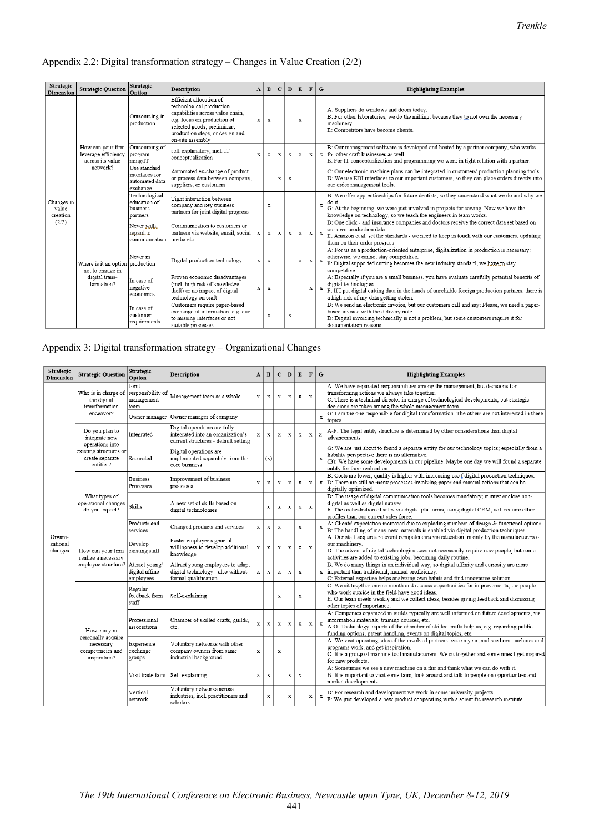## Appendix 2.2: Digital transformation strategy – Changes in Value Creation (2/2)

| Strategic<br><b>Dimension</b>   | <b>Strategic Question</b>                                                            | Strategic<br>Option                                          | <b>Description</b>                                                                                                                                                                                           | $\bf{A}$     | $\mathbf{B}$ | $\mathbf{C}$ | $\mathbf{D}$ | E            | $\mathbf F$  | $\mathbf G$  | <b>Highlighting Examples</b>                                                                                                                                                                                                                                         |
|---------------------------------|--------------------------------------------------------------------------------------|--------------------------------------------------------------|--------------------------------------------------------------------------------------------------------------------------------------------------------------------------------------------------------------|--------------|--------------|--------------|--------------|--------------|--------------|--------------|----------------------------------------------------------------------------------------------------------------------------------------------------------------------------------------------------------------------------------------------------------------------|
|                                 |                                                                                      | Outsourcing in<br>production                                 | Efficient allocation of<br>technological production<br>capabilities across value chain,<br>e.g. focus on production of<br>selected goods, preliminary<br>production steps, or design and<br>on-site assembly | X            | $\mathbf{x}$ |              |              | $\mathbf x$  |              |              | A: Suppliers do windows and doors today.<br>B: For other laboratories, we do the milling, because they to not own the necessary<br>machinery.<br>E: Competitors have become clients.                                                                                 |
|                                 | How can your firm<br>leverage efficiency<br>across its value                         | Outsourcing of<br>program-<br>ming/IT                        | self-explanatory, incl. IT<br>conceptualization                                                                                                                                                              | x            | x            | x            | x            | $\mathbf{x}$ | $\mathbf{x}$ | $\mathbf x$  | B: Our management software is developed and hosted by a partner company, who works<br>for other craft businesses as well<br>E: For IT conceptualization and programming we work in tight relation with a partner.                                                    |
|                                 | network?                                                                             | Use standard<br>interfaces for<br>automated data<br>exchange | Automated ex-change of product<br>or process data between company.<br>suppliers, or customers                                                                                                                |              |              | X            | $\mathbf x$  |              |              |              | C: Our electronic machine plans can be integrated in customers' production planning tools.<br>D: We use EDI interfaces to our important customers, so they can place orders directly into<br>our order management tools.                                             |
| Changes in<br>value<br>creation |                                                                                      | Technological<br>education of<br>business<br>partners        | Tight interaction between<br>company and key business<br>partners for joint digital progress                                                                                                                 |              | $\bf{x}$     |              |              |              |              | $\mathbf x$  | B: We offer apprenticeships for future dentists, so they understand what we do and why we<br>do it.<br>G: At the beginning, we were just involved in projects for sewing. Now we have the<br>knowledge on technology, so we teach the engineers in team works.       |
| (2/2)                           |                                                                                      | Never with<br>regard <sub>to</sub><br>communication          | Communication to customers or<br>partners via website, email, social<br>media etc.                                                                                                                           | $\mathbf{x}$ | $\mathbf x$  | x            | X            | x            | $\mathbf{x}$ | x            | B: One click - and insurance companies and doctors receive the correct data set based on<br>our own production data<br>E: Amazon et al. set the standards - we need to keep in touch with our customers, updating<br>them on their order progress                    |
|                                 | Where is it an option production<br>not to engage in<br>digital trans-<br>formation? | Never in                                                     | Digital production technology                                                                                                                                                                                | x            | $\mathbf{x}$ |              |              | x            | x            | $\mathbf{x}$ | A: For us as a production-oriented enterprise, digitalization in production is necessary;<br>otherwise, we cannot stay competitive.<br>F: Digital supported cutting becomes the new industry standard, we have to stay<br>competitive.                               |
|                                 |                                                                                      | In case of<br>negative<br>economics                          | Proven economic disadvantages<br>(incl. high risk of knowledge<br>theft) or no impact of digital<br>technology on craft                                                                                      | x            | X            |              |              |              | $\mathbf x$  | X            | A: Especially if you are a small business, you have evaluate carefully potential benefits of<br>digital technologies.<br>F: If I put digital cutting data in the hands of unreliable foreign production partners, there is<br>a high risk of my data getting stolen. |
|                                 |                                                                                      | In case of<br>customer<br>requirements                       | Customers require paper-based<br>exchange of information, e.g. due<br>to missing interfaces or not<br>suitable processes                                                                                     |              | x            |              | $\mathbf x$  |              |              |              | B: We send an electronic invoice, but our customers call and say: Please, we need a paper-<br>based invoice with the delivery note.<br>D: Digital invoicing technically is not a problem, but some customers require it for<br>documentation reasons.                |

## Appendix 3: Digital transformation strategy – Organizational Changes

| Strategic<br><b>Dimension</b>  | <b>Strategic Question</b>                                       | Strategic<br>Option                              | <b>Description</b>                                                                                        | A            | $\bf{B}$    | $\mathbf C$  | D            | ${\bf E}$    | $\mathbf F$  | $\mathbf G$  | <b>Highlighting Examples</b>                                                                                                                                                                                                                                                                             |
|--------------------------------|-----------------------------------------------------------------|--------------------------------------------------|-----------------------------------------------------------------------------------------------------------|--------------|-------------|--------------|--------------|--------------|--------------|--------------|----------------------------------------------------------------------------------------------------------------------------------------------------------------------------------------------------------------------------------------------------------------------------------------------------------|
|                                | Who is in charge of<br>the digital<br>transformation            | Joint<br>responsibility of<br>management<br>team | Management team as a whole                                                                                | x            | $\mathbf x$ | $\mathbf x$  | $\mathbf{x}$ | $\mathbf x$  | $\mathbf x$  |              | A: We have separated responsibilities among the management, but decisions for<br>transforming actions we always take together.<br>C: There is a technical director in charge of technological developments, but strategic<br>decisions are taken among the whole management team.                        |
|                                | endeavor?                                                       | Owner manager                                    | Owner manager of company                                                                                  |              |             |              |              |              |              | $\mathbf x$  | G: I am the one responsible for digital transformation. The others are not interested in these<br>topics.                                                                                                                                                                                                |
|                                | Do you plan to<br>integrate new<br>operations into              | Integrated                                       | Digital operations are fully<br>integrated into an organization's<br>current structures - default setting | x            | $\bf{x}$    | $\mathbf x$  | $\mathbf{x}$ | $\mathbf x$  | $\mathbf x$  | $\mathbf x$  | A-F: The legal entity structure is determined by other considerations than digital<br>advancements                                                                                                                                                                                                       |
|                                | existing structures or<br>create separate<br>entities?          | Separated                                        | Digital operations are<br>implemented separately from the<br>core business                                |              | (x)         |              |              |              |              | $\bar{x}$    | G: We are just about to found a separate entity for our technology topics; especially from a<br>liability perspective there is no alternative.<br>(B): We have some developments in our pipeline. Maybe one day we will found a separate<br>entity for their realization.                                |
|                                |                                                                 | <b>Business</b><br>Processes                     | Improvement of business<br>processes                                                                      | $\mathbf{x}$ | $\mathbf x$ | $\mathbf x$  | $\mathbf{x}$ | $\mathbf{x}$ | $\mathbf x$  | $\mathbf x$  | B: Costs are lower; quality is higher with increasing use f digital production techniques.<br>D: There are still so many processes involving paper and manual actions that can be<br>digitally optimized.                                                                                                |
|                                | What types of<br>operational changes<br>do you expect?          | Skills                                           | A new set of skills based on<br>digital technologies                                                      |              | X           | $\mathbf x$  | $\mathbf{x}$ | $\mathbf{x}$ | $\mathbf x$  |              | D: The usage of digital communication tools becomes mandatory; it must enclose non-<br>digital as well as digital natives.<br>F: The orchestration of sales via digital platforms, using digital CRM, will require other<br>profiles than our current sales force.                                       |
|                                |                                                                 | Products and<br>services                         | Changed products and services                                                                             | x            | $\mathbf x$ | $\mathbf{x}$ |              | $\mathbf x$  |              |              | A: Clients' expectation increased due to exploding numbers of design & functional options.<br>B: The handling of many new materials is enabled via digital production techniques.                                                                                                                        |
| Organi-<br>zational<br>changes | How can your firm<br>realize a necessary<br>employee structure? | Develop<br>existing staff                        | Foster employee's general<br>willingness to develop additional<br>knowledge                               | $\mathbf x$  | $\mathbf x$ | $\mathbf x$  | $\mathbf x$  | $\mathbf x$  | $\mathbf x$  |              | A: Our staff acquires relevant competencies via education, mainly by the manufacturers of<br>our machinery.<br>D: The advent of digital technologies does not necessarily require new people; but some<br>activities are added to existing jobs, becoming daily routine.                                 |
|                                |                                                                 | Attract young/<br>digital affine<br>employees    | Attract young employees to adapt<br>digital technology - also without<br>formal qualification             | $\mathbf x$  | $\bf x$     | $\mathbf x$  | $\mathbf x$  | $\mathbf x$  |              | $\mathbf{x}$ | B: We do many things in an individual way, so digital affinity and curiosity are more<br>important than traditional, manual proficiency.<br>C: External expertise helps analyzing own habits and find innovative solution.                                                                               |
|                                |                                                                 | Regular<br>feedback from<br>staff                | Self-explaining                                                                                           |              |             | $\mathbf x$  |              | $\mathbf x$  |              |              | C: We sit together once a month and discuss opportunities for improvements; the people<br>who work outside in the field have good ideas.<br>E: Our team meets weakly and we collect ideas, besides giving feedback and discussing<br>other topics of importance.                                         |
|                                | How can you<br>personally acquire                               | Professional<br>associations                     | Chamber of skilled crafts, guilds,<br>etc.                                                                | $\mathbf x$  | $\mathbf x$ | $\mathbf x$  | $\mathbf x$  | $\mathbf x$  | $\mathbf x$  | X            | A: Companies organized in guilds typically are well informed on future developments, via<br>information materials, training courses, etc.<br>A-G: Technology experts of the chamber of skilled crafts help us, e.g. regarding public<br>funding options, patent handling, events on digital topics, etc. |
|                                | necessary<br>competencies and<br>inspiration?                   | Experience<br>exchange<br>groups                 | Voluntary networks with other<br>company owners from same<br>industrial background                        | $\mathbf x$  |             | $\mathbf x$  |              |              |              |              | A: We visit operating sites of the involved partners twice a year, and see how machines and<br>programs work, and get inspiration.<br>C: It is a group of machine tool manufacturers. We sit together and sometimes I get inspired<br>for new products.                                                  |
|                                |                                                                 | Visit trade fairs                                | Self-explaining                                                                                           | x            | X           |              | $\mathbf x$  | $\mathbf x$  |              |              | A: Sometimes we see a new machine on a fair and think what we can do with it.<br>B: It is important to visit some fairs, look around and talk to people on opportunities and<br>market developments.                                                                                                     |
|                                |                                                                 | Vertical<br>network                              | Voluntary networks across<br>industries, incl. practitioners and<br>scholars                              |              | $\mathbf x$ |              | x            |              | $\mathbf{x}$ | x            | D: For research and development we work in some university projects.<br>F: We just developed a new product cooperating with a scientific research institute.                                                                                                                                             |